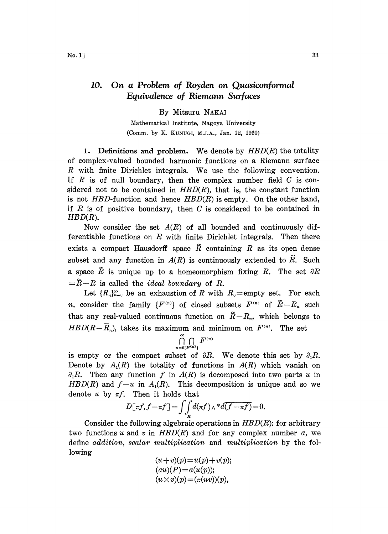## 10. On a Problem of Royden on Quasiconformal Equivalence of Riemann Surfaces

By Mitsuru NAKAI

Mathematical Institute, Nagoya University (Comm. by K. KUNUGI, M.J.A., Jan. 12, 1960)

1. Definitions and problem. We denote by  $HBD(R)$  the totality of complex-valued bounded harmonic functions on a Riemann surface R with finite Dirichlet integrals. We use the following convention. If  $R$  is of null boundary, then the complex number field  $C$  is considered not to be contained in  $HBD(R)$ , that is, the constant function is not HBD-function and hence  $HBD(R)$  is empty. On the other hand, if  $R$  is of positive boundary, then  $C$  is considered to be contained in  $HBD(R)$ .

Now consider the set  $A(R)$  of all bounded and continuously differentiable functions on  $R$  with finite Dirichlet integrals. Then there exists a compact Hausdorff space  $\tilde{R}$  containing R as its open dense subset and any function in  $A(R)$  is continuously extended to  $\tilde{R}$ . Such a space  $\tilde{R}$  is unique up to a homeomorphism fixing R. The set  $\partial R$  $=\widetilde{R}-R$  is called the *ideal boundary* of R.

Let  $\{R_n\}_{n=0}^{\infty}$  be an exhaustion of R with  $R_0$ =empty set. For each *n*, consider the family  $\{F^{(n)}\}$  of closed subsets  $F^{(n)}$  of  $\widetilde{R}-R_n$  such that any real-valued continuous function on  $\widetilde{R}-R_n$ , which belongs to  $HBD(R-\overline{R}_n)$ , takes its maximum and minimum on  $F^{(n)}$ . The set

$$
\bigcap_{n=0\{F^{(n)}\}}^{\infty} \bigcap F^{(n)}
$$

is empty or the compact subset of  $\partial R$ . We denote this set by  $\partial_1 R$ . Denote by  $A_1(R)$  the totality of functions in  $A(R)$  which vanish on  $\partial_1 R$ . Then any function f in  $A(R)$  is decomposed into two parts u in  $HBD(R)$  and  $f-u$  in  $A<sub>1</sub>(R)$ . This decomposition is unique and so we denote u by  $\pi f$ . Then it holds that

$$
D[\tau f, f - \tau f] = \iint_R d(\tau f) \wedge \tau d\overline{(f - \tau f)} = 0.
$$

Consider the following algebraic operations in  $HBD(R)$ : for arbitrary two functions u and v in  $HBD(R)$  and for any complex number a, we define addition, scalar multiplication and multiplication by the following

$$
(u+v)(p) = u(p) + v(p);
$$
  
\n
$$
(au)(P) = a(u(p));
$$
  
\n
$$
(u \times v)(p) = (\pi(uv))(p),
$$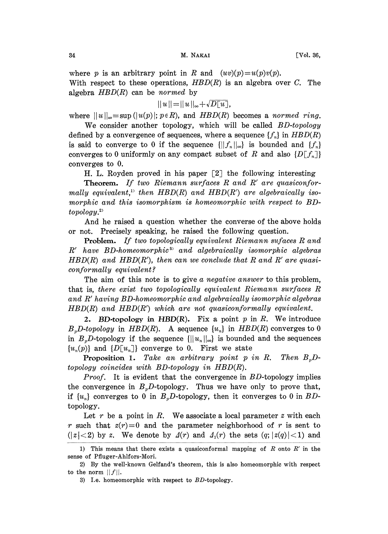where p is an arbitrary point in R and  $(uv)(p) = u(p)v(p)$ . With respect to these operations,  $HBD(R)$  is an algebra over C. The algebra  $HBD(R)$  can be normed by

$$
||u|| = ||u||_{\infty} + \sqrt{D[u]},
$$

where  $||u||_{\infty} = \sup (|u(p)|; p \in R)$ , and  $HBD(R)$  becomes a normed ring.

We consider another topology, which will be called BD-topology defined by a convergence of sequences, where a sequence  $\{f_n\}$  in  $HBD(R)$ is said to converge to 0 if the sequence  $\{||f_n||_{\infty}\}\$ is bounded and  $\{f_n\}$ converges to 0 uniformly on any compact subset of R and also  ${D[\Gamma_{\tau_n}]}$ converges to 0.

H. L. Royden proved in his paper [2] the following interesting

Theorem. If two Riemann surfaces R and R' are quasiconformally equivalent,<sup>11</sup> then  $HBD(R)$  and  $HBD(R')$  are algebraically isomorphic and this isomorphism is homeomorphic with respect to BDtopology.

And he raised a question whether the converse of the above holds or not. Precisely speaking, he raised the following question.

Problem. If two topologically equivalent Riemann sufaces R and R' have BD-homeomorphic<sup>3</sup> and algebraically isomorphic algebras  $HBD(R)$  and  $HBD(R')$ , then can we conclude that R and R' are quasiconformally equivalent?

The aim of this note is to give a negative answer to this problem, that is, there exist two topologically equivalent Riemann surfaces R and R' having BD-homeomorphic and algebraically isomorphic algebras  $HBD(R)$  and  $HBD(R')$  which are not quasiconformally equivalent.

2. BD-topology in HBD $(R)$ . Fix a point p in R. We introduce  $B<sub>n</sub>D-topology$  in  $HBD(R)$ . A sequence  $\{u<sub>n</sub>\}$  in  $HBD(R)$  converges to 0 in  $B<sub>n</sub>D$ -topology if the sequence  $\{||u_n||_{\infty}\}$  is bounded and the sequences  ${u_n(p)}$  and  ${D[u_n]}$  converge to 0. First we state

**Proposition 1.** Take an arbitrary point p in R. Then  $B_pD$ topology coincides with BD-topology in HBD(R).

*Proof.* It is evident that the convergence in  $BD$ -topology implies the convergence in  $B<sub>p</sub>D$ -topology. Thus we have only to prove that, if  $\{u_n\}$  converges to 0 in  $B_pD$ -topology, then it converges to 0 in BDtopology.

Let r be a point in R. We associate a local parameter  $z$  with each r such that  $z(r)=0$  and the parameter neighborhood of r is sent to  $(|z|<2)$  by z. We denote by  $\Delta(r)$  and  $\Delta_1(r)$  the sets  $(q; |z(q)|<1)$  and

<sup>1)</sup> This means that there exists a quasiconformal mapping of  $R$  onto  $R'$  in the sense of Pfluger-Ahlfors-Mori.

<sup>2)</sup> By the well-known Gelfand's theorem, this is also homeomorphic with respect to the norm  $||f||$ .

<sup>3)</sup> I.e. homeomorphic with respect to  $BD$ -topology.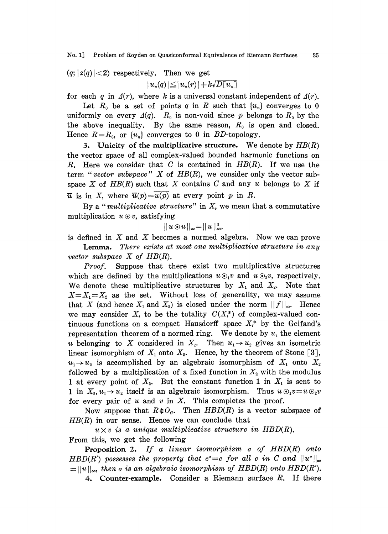$(q; |z(q)| < 2)$  respectively. Then we get

 $|u_n(q)| \leq |u_n(r)| + k\sqrt{D[u_n]}$ 

for each q in  $\Delta(r)$ , where k is a universal constant independent of  $\Delta(r)$ .

Let  $R_0$  be a set of points q in R such that  $\{u_n\}$  converges to 0 uniformly on every  $\Delta(q)$ .  $R_0$  is non-void since p belongs to  $R_0$  by the the above inequality. By the same reason,  $R_0$  is open and closed. Hence  $R=R_0$ , or  $\{u_n\}$  converges to 0 in BD-topology.

3. Unicity of the multiplicative structure. We denote by  $HB(R)$ the vector spaee of all complex-valued bounded harmonic funetions on R. Here we consider that C is contained in  $HB(R)$ . If we use the term "vector subspace"  $X$  of  $HB(R)$ , we consider only the vector subspace X of  $HB(R)$  such that X contains C and any u belongs to X if  $\overline{u}$  is in X, where  $\overline{u}(p)=\overline{u}(p)$  at every point p in R.

By a "multiplicative structure" in  $X$ , we mean that a commutative multiplication  $u \odot v$ , satisfying

$$
|u\odot u||_{\infty} = ||u||_{\infty}^{2},
$$

is defined in  $X$  and  $X$  becomes a normed algebra. Now we can prove Lemma. There exists at most one multiplicative structure in any vector subspace  $X$  of  $HB(R)$ .

Proof. Suppose that there exist two multiplicative structures which are defined by the multiplications  $u\odot_1 v$  and  $u\odot_2 v$ , respectively. We denote these multiplicative structures by  $X_1$  and  $X_2$ . Note that  $X=X_1=X_2$  as the set. Without loss of generality, we may assume that X (and hence  $X_1$  and  $X_2$ ) is closed under the norm  $||f||_{\infty}$ . Hence we may consider  $X_i$  to be the totality  $C(X_i^*)$  of complex-valued continuous functions on a compact Hausdorff space  $X^*$  by the Gelfand's representation theorem of a normed ring. We denote by  $u_i$  the element u belonging to X considered in  $X_i$ . Then  $u_1 \rightarrow u_2$  gives an isometric linear isomorphism of  $X_1$  onto  $X_2$ . Hence, by the theorem of Stone [3],  $u_1 \rightarrow u_2$  is accomplished by an algebraic isomorphism of  $X_1$  onto  $X_2$ followed by a multiplication of a fixed function in  $X_2$  with the modulus 1 at every point of  $X_2$ . But the constant function 1 in  $X_1$  is sent to 1 in  $X_2, u_1 \rightarrow u_2$  itself is an algebraic isomorphism. Thus  $u \odot_1 v = u \odot_2 v$ for every pair of  $u$  and  $v$  in  $X$ . This completes the proof.

Now suppose that  $R \notin O<sub>a</sub>$ . Then  $HBD(R)$  is a vector subspace of  $HB(R)$  in our sense. Hence we can conclude that

 $u \times v$  is a unique multiplicative structure in HBD(R). From this, we get the following

**Proposition 2.** If a linear isomorphism  $\sigma$  of  $HBD(R)$  onto HBD(R') possesses the property that  $c^{\prime}=c$  for all c in C and  $||u^{\prime}||_{\infty}$  $= ||u||_{\infty}$ , then  $\sigma$  is an algebraic isomorphism of HBD(R) onto HBD(R').

4. Counter-example. Consider a Riemann surface R. If there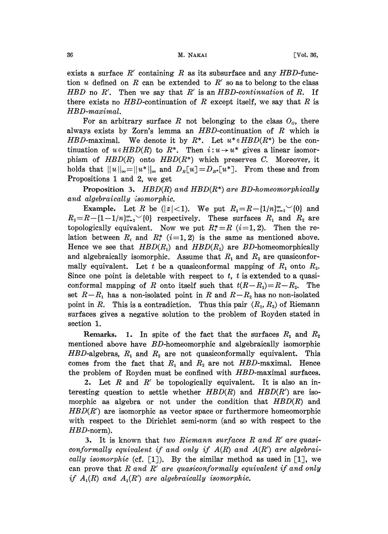exists a surface  $R'$  containing R as its subsurface and any HBD-function u defined on R can be extended to R' so as to belong to the class HBD no R'. Then we say that R' is an HBD-continuation of R. If there exists no  $HBD$ -continuation of R except itself, we say that R is HBD-maximal.

For an arbitrary surface R not belonging to the class  $O<sub>g</sub>$ , there always exists by Zorn's lemma an  $HBD$ -continuation of  $R$  which is HBD-maximal. We denote it by  $R^*$ . Let  $u^* \in HBD(R^*)$  be the continuation of  $u \in HBD(R)$  to  $R^*$ . Then  $i: u \to u^*$  gives a linear isomorphism of  $HBD(R)$  onto  $HBD(R^*)$  which preserves C. Moreover, it holds that  $||u||_{\infty} = ||u^*||_{\infty}$  and  $D_R[u] = D_{R^*}[u^*]$ . From these and from Propositions <sup>1</sup> and 2, we get

**Proposition 3.** HBD(R) and HBD(R\*) are BD-homeomorphically and algebraically isomorphic.

Example. Let R be  $(|z|<1)$ . We put  $R_1=R-\{1/n\}_{n=2}^{\infty}$  (0) and  $R_2=R-[1-1/n]_{n=2}^{\infty}\setminus\{0\}$  respectively. These surfaces  $R_1$  and  $R_2$  are topologically equivalent. Now we put  $R_i^* = R$  (i=1, 2). Then the relation between  $R_i$  and  $R_i^*$  (i=1, 2) is the same as mentioned above. Hence we see that  $HBD(R_1)$  and  $HBD(R_2)$  are BD-homeomorphically and algebraically isomorphic. Assume that  $R_1$  and  $R_2$  are quasiconformally equivalent. Let t be a quasiconformal mapping of  $R_1$  onto  $R_2$ . Since one point is deletable with respect to  $t$ ,  $t$  is extended to a quasiconformal mapping of R onto itself such that  $t(R-R_1)=R-R_2$ . The set  $R-R_1$  has a non-isolated point in R and  $R-R_2$  has no non-isolated point in R. This is a contradiction. Thus this pair  $(R_1, R_2)$  of Riemann surfaces gives a negative solution to the problem of Royden stated in section 1.

Remarks. 1. In spite of the fact that the surfaces  $R_1$  and  $R_2$ mentioned above have BD-homeomorphic and algebraically isomorphic  $HBD$ -algebras,  $R_1$  and  $R_2$  are not quasiconformally equivalent. This comes from the fact that  $R_1$  and  $R_2$  are not HBD-maximal. Hence the problem of Royden must be confined with HBD-maximal surfaces.

2. Let  $R$  and  $R'$  be topologically equivalent. It is also an interesting question to settle whether  $HBD(R)$  and  $HBD(R')$  are isomorphic as algebra or not under the condition that  $HBD(R)$  and  $HBD(R')$  are isomorphic as vector space or furthermore homeomorphic with respect to the Dirichlet semi-norm (and so with respect to the HBD-norm).

3. It is known that two Riemann surfaces  $R$  and  $R'$  are quasiconformally equivalent if and only if  $A(R)$  and  $A(R')$  are algebraically isomorphic (cf.  $[1]$ ). By the similar method as used in  $[1]$ , we can prove that R and R' are quasiconformally equivalent if and only if  $A_1(R)$  and  $A_1(R')$  are algebraically isomorphic.